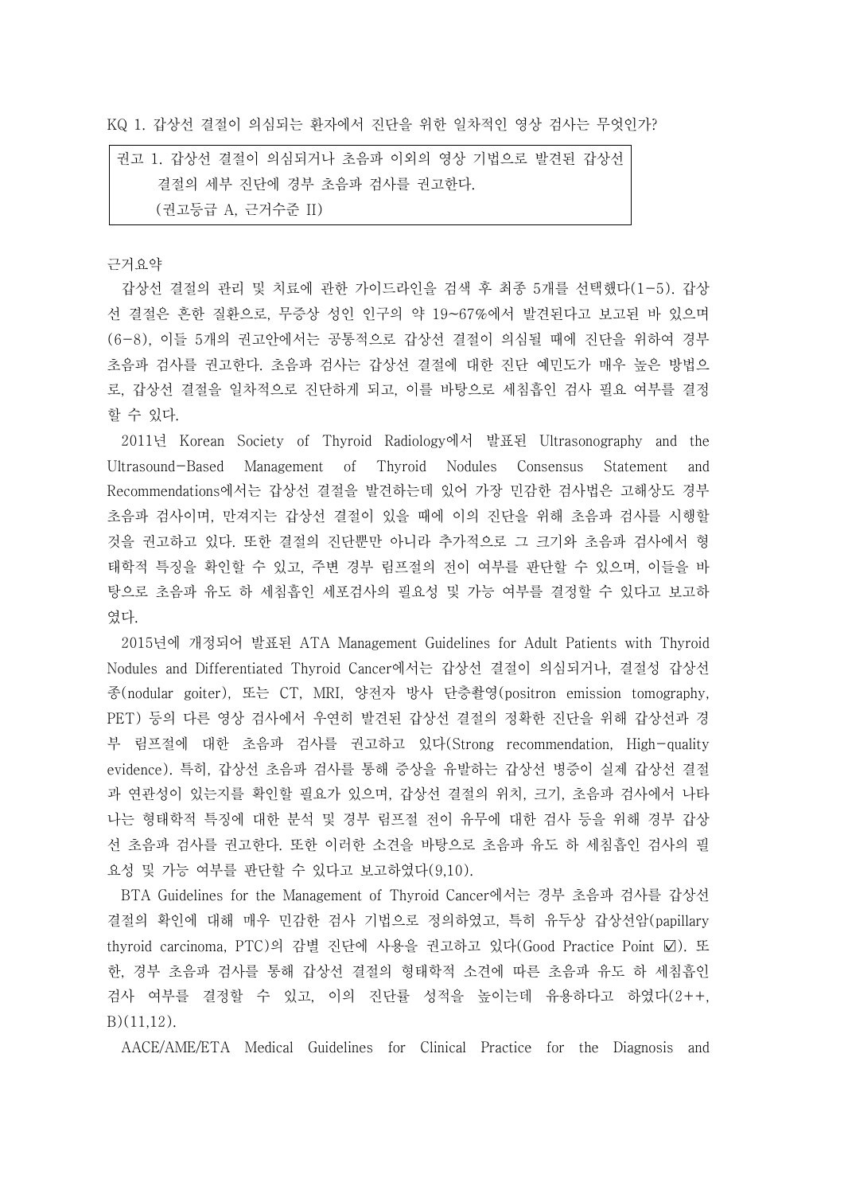KQ 1. 갑상선 결절이 의심되는 환자에서 진단을 위한 일차적인 영상 검사는 무엇인가?

권고 1. 갑상선 결절이 의심되거나 초음파 이외의 영상 기법으로 발견된 갑상선 결절의 세부 진단에 경부 초음파 검사를 권고한다. (권고등급 A, 근거수준 II)

근거요약

갑상선 결절의 관리 및 치료에 관한 가이드라인을 검색 후 최종 5개를 선택했다(1-5). 갑상 선 결절은 흔한 질환으로, 무증상 성인 인구의 약 19~67%에서 발견된다고 보고된 바 있으며 (6-8), 이들 5개의 권고안에서는 공통적으로 갑상선 결절이 의심될 때에 진단을 위하여 경부 초음파 검사를 권고한다. 초음파 검사는 갑상선 결절에 대한 진단 예민도가 매우 높은 방법으 로, 갑상선 결절을 일차적으로 진단하게 되고, 이를 바탕으로 세침흡인 검사 필요 여부를 결정 할 수 있다.

2011년 Korean Society of Thyroid Radiology에서 발표된 Ultrasonography and the Ultrasound-Based Management of Thyroid Nodules Consensus Statement and Recommendations에서는 갑상선 결절을 발견하는데 있어 가장 민감한 검사법은 고해상도 경부 초음파 검사이며, 만져지는 갑상선 결절이 있을 때에 이의 진단을 위해 초음파 검사를 시행할 것을 권고하고 있다. 또한 결절의 진단뿐만 아니라 추가적으로 그 크기와 초음파 검사에서 형 태학적 특징을 확인할 수 있고, 주변 경부 림프절의 전이 여부를 판단할 수 있으며, 이들을 바 탕으로 초음파 유도 하 세침흡인 세포검사의 필요성 및 가능 여부를 결정할 수 있다고 보고하 였다.<br>- 2015년에 개정되어 발표된 ATA Management Guidelines for Adult Patients with Thyroid

Nodules and Differentiated Thyroid Cancer에서는 갑상선 결절이 의심되거나, 결절성 갑상선 종(nodular goiter), 또는 CT, MRI, 양전자 방사 단층촬영(positron emission tomography, PET) 등의 다른 영상 검사에서 우연히 발견된 갑상선 결절의 정확한 진단을 위해 갑상선과 경 부 림프절에 대한 초음파 검사를 권고하고 있다(Strong recommendation, High-quality evidence). 특히, 갑상선 초음파 검사를 통해 증상을 유발하는 갑상선 병증이 실제 갑상선 결절 과 연관성이 있는지를 확인할 필요가 있으며, 갑상선 결절의 위치, 크기, 초음파 검사에서 나타 나는 형태학적 특징에 대한 분석 및 경부 림프절 전이 유무에 대한 검사 등을 위해 경부 갑상 선 초음파 검사를 권고한다. 또한 이러한 소견을 바탕으로 초음파 유도 하 세침흡인 검사의 필 요성 및 가능 여부를 판단할 수 있다고 보고하였다(9,10).

BTA Guidelines for the Management of Thyroid Cancer에서는 경부 초음파 검사를 갑상선 결절의 확인에 대해 매우 민감한 검사 기법으로 정의하였고, 특히 유두상 갑상선암(papillary thyroid carcinoma, PTC)의 감별 진단에 사용을 권고하고 있다(Good Practice Point ☑). 또 한, 경부 초음파 검사를 통해 갑상선 결절의 형태학적 소견에 따른 초음파 유도 하 세침흡인 검사 여부를 결정할 수 있고, 이의 진단률 성적을 높이는데 유용하다고 하였다(2++, B)(11,12).

AACE/AME/ETA Medical Guidelines for Clinical Practice for the Diagnosis and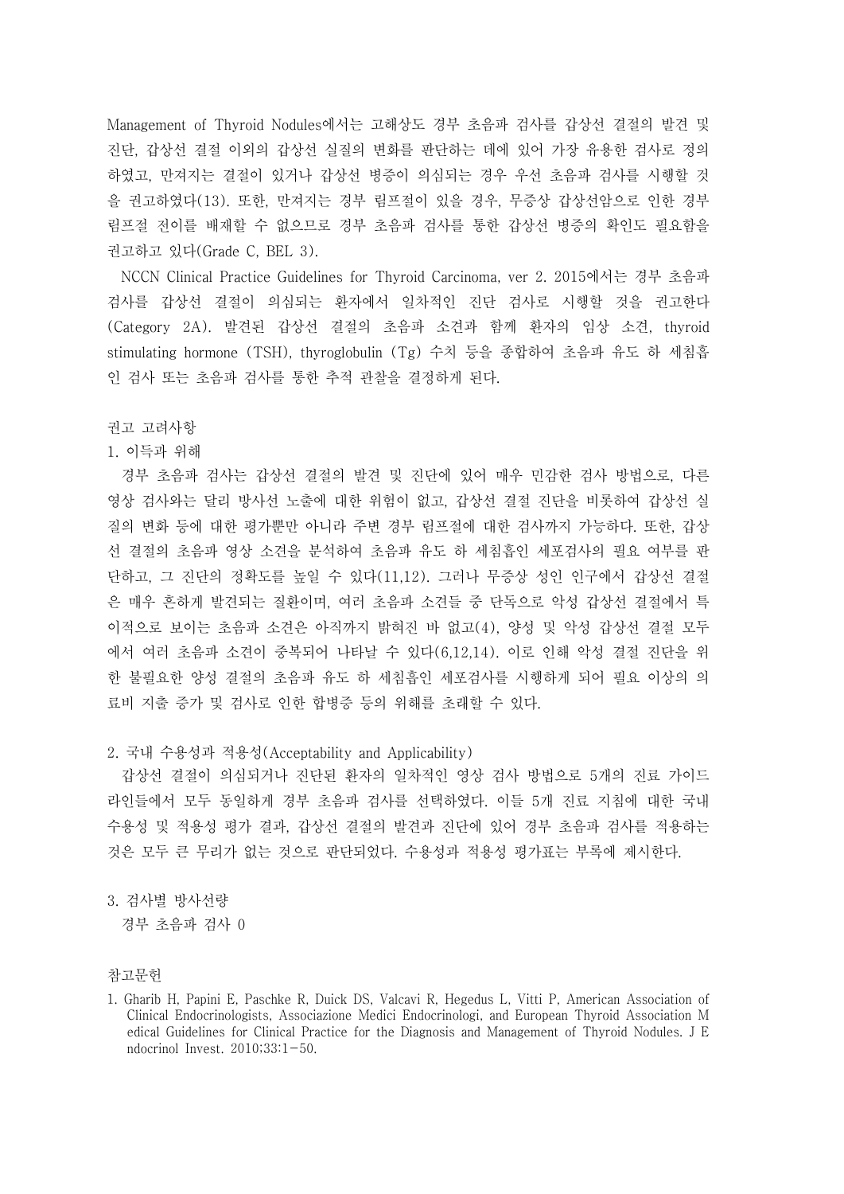Management of Thyroid Nodules에서는 고해상도 경부 초음파 검사를 갑상선 결절의 발견 및 진단, 갑상선 결절 이외의 갑상선 실질의 변화를 판단하는 데에 있어 가장 유용한 검사로 정의 하였고, 만져지는 결절이 있거나 갑상선 병증이 의심되는 경우 우선 초음파 검사를 시행할 것 을 권고하였다(13). 또한, 만져지는 경부 림프절이 있을 경우, 무증상 갑상선암으로 인한 경부 림프절 전이를 배재할 수 없으므로 경부 초음파 검사를 통한 갑상선 병증의 확인도 필요함을 권고하고 있다(Grade C, BEL 3).

NCCN Clinical Practice Guidelines for Thyroid Carcinoma, ver 2. 2015에서는 경부 초음파 검사를 갑상선 결절이 의심되는 환자에서 일차적인 진단 검사로 시행할 것을 권고한다 (Category 2A). 발견된 갑상선 결절의 초음파 소견과 함께 환자의 임상 소견, thyroid stimulating hormone (TSH), thyroglobulin (Tg) 수치 등을 종합하여 초음파 유도 하 세침흡 인 검사 또는 초음파 검사를 통한 추적 관찰을 결정하게 된다.

## 권고 고려사항

## 1. 이득과 위해

경부 초음파 검사는 갑상선 결절의 발견 및 진단에 있어 매우 민감한 검사 방법으로, 다른 영상 검사와는 달리 방사선 노출에 대한 위험이 없고, 갑상선 결절 진단을 비롯하여 갑상선 실 질의 변화 등에 대한 평가뿐만 아니라 주변 경부 림프절에 대한 검사까지 가능하다. 또한, 갑상 선 결절의 초음파 영상 소견을 분석하여 초음파 유도 하 세침흡인 세포검사의 필요 여부를 판 단하고, 그 진단의 정확도를 높일 수 있다(11,12). 그러나 무증상 성인 인구에서 갑상선 결절 은 매우 흔하게 발견되는 질환이며, 여러 초음파 소견들 중 단독으로 악성 갑상선 결절에서 특 이적으로 보이는 초음파 소견은 아직까지 밝혀진 바 없고(4), 양성 및 악성 갑상선 결절 모두 에서 여러 초음파 소견이 중복되어 나타날 수 있다(6,12,14). 이로 인해 악성 결절 진단을 위 한 불필요한 양성 결절의 초음파 유도 하 세침흡인 세포검사를 시행하게 되어 필요 이상의 의 료비 지출 증가 및 검사로 인한 합병증 등의 위해를 초래할 수 있다.

2. 국내 수용성과 적용성(Acceptability and Applicability)

갑상선 결절이 의심되거나 진단된 환자의 일차적인 영상 검사 방법으로 5개의 진료 가이드 라인들에서 모두 동일하게 경부 초음파 검사를 선택하였다. 이들 5개 진료 지침에 대한 국내 수용성 및 적용성 평가 결과, 갑상선 결절의 발견과 진단에 있어 경부 초음파 검사를 적용하는 것은 모두 큰 무리가 없는 것으로 판단되었다. 수용성과 적용성 평가표는 부록에 제시한다.<br><br>3. 검사별 방사선량

경부 초음파 검사 0

참고문헌

<sup>1.</sup> Gharib H, Papini E, Paschke R, Duick DS, Valcavi R, Hegedus L, Vitti P, American Association of Clinical Endocrinologists, Associazione Medici Endocrinologi, and European Thyroid Association M edical Guidelines for Clinical Practice for the Diagnosis and Management of Thyroid Nodules. J E ndocrinol Invest. 2010;33:1-50.